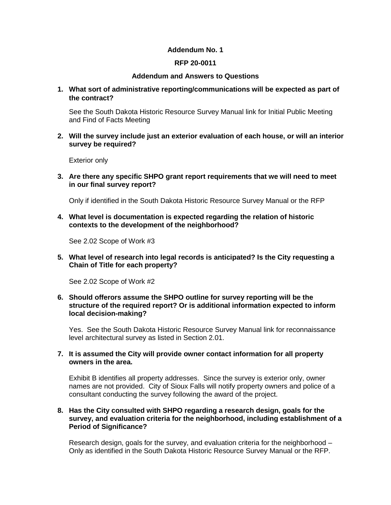## **Addendum No. 1**

# **RFP 20-0011**

### **Addendum and Answers to Questions**

**1. What sort of administrative reporting/communications will be expected as part of the contract?** 

See the South Dakota Historic Resource Survey Manual link for Initial Public Meeting and Find of Facts Meeting

**2. Will the survey include just an exterior evaluation of each house, or will an interior survey be required?**

Exterior only

**3. Are there any specific SHPO grant report requirements that we will need to meet in our final survey report?**

Only if identified in the South Dakota Historic Resource Survey Manual or the RFP

**4. What level is documentation is expected regarding the relation of historic contexts to the development of the neighborhood?** 

See 2.02 Scope of Work #3

**5. What level of research into legal records is anticipated? Is the City requesting a Chain of Title for each property?**

See 2.02 Scope of Work #2

**6. Should offerors assume the SHPO outline for survey reporting will be the structure of the required report? Or is additional information expected to inform local decision-making?** 

Yes. See the South Dakota Historic Resource Survey Manual link for reconnaissance level architectural survey as listed in Section 2.01.

**7. It is assumed the City will provide owner contact information for all property owners in the area.** 

Exhibit B identifies all property addresses. Since the survey is exterior only, owner names are not provided. City of Sioux Falls will notify property owners and police of a consultant conducting the survey following the award of the project.

## **8. Has the City consulted with SHPO regarding a research design, goals for the survey, and evaluation criteria for the neighborhood, including establishment of a Period of Significance?**

Research design, goals for the survey, and evaluation criteria for the neighborhood – Only as identified in the South Dakota Historic Resource Survey Manual or the RFP.